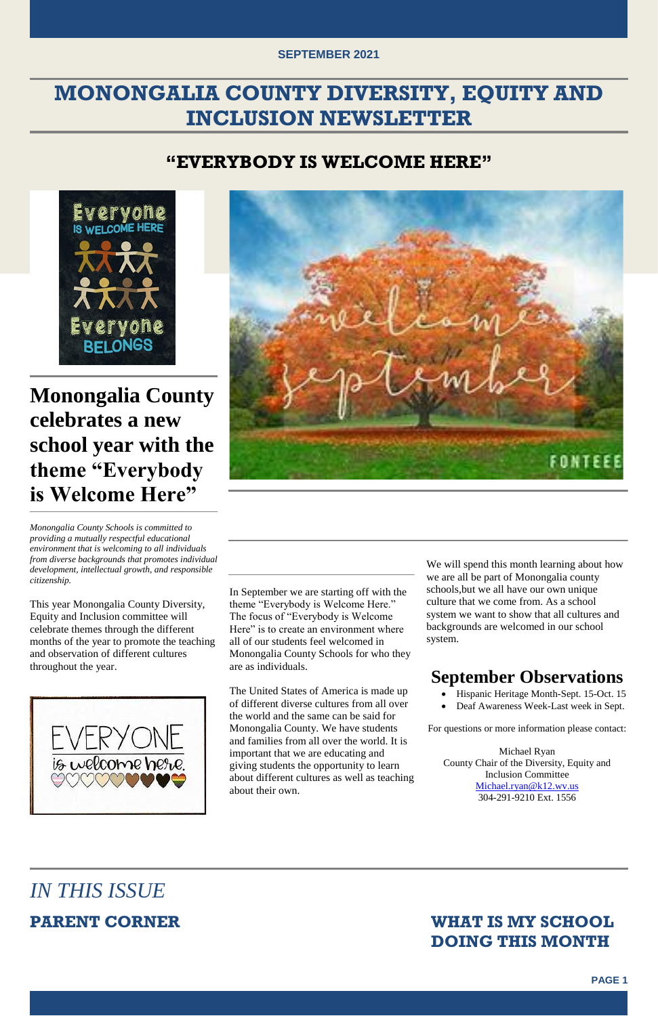#### **SEPTEMBER 2021**



### **MONONGALIA COUNTY DIVERSITY, EQUITY AND INCLUSION NEWSLETTER**

#### **"EVERYBODY IS WELCOME HERE"**



## **Monongalia County celebrates a new school year with the theme "Everybody is Welcome Here"**

*Monongalia County Schools is committed to providing a mutually respectful educational environment that is welcoming to all individuals from diverse backgrounds that promotes individual development, intellectual growth, and responsible citizenship.*

This year Monongalia County Diversity, Equity and Inclusion committee will celebrate themes through the different months of the year to promote the teaching and observation of different cultures throughout the year.



In September we are starting off with the theme "Everybody is Welcome Here." The focus of "Everybody is Welcome Here" is to create an environment where all of our students feel welcomed in Monongalia County Schools for who they are as individuals.

- Hispanic Heritage Month-Sept. 15-Oct. 15
- Deaf Awareness Week-Last week in Sept.

The United States of America is made up of different diverse cultures from all over the world and the same can be said for Monongalia County. We have students and families from all over the world. It is important that we are educating and giving students the opportunity to learn about different cultures as well as teaching about their own.

We will spend this month learning about how we are all be part of Monongalia county schools,but we all have our own unique culture that we come from. As a school system we want to show that all cultures and backgrounds are welcomed in our school system.

### **September Observations**

For questions or more information please contact:

FONTE

Michael Ryan County Chair of the Diversity, Equity and Inclusion Committee [Michael.ryan@k12.wv.us](mailto:Michael.ryan@k12.wv.us) 304-291-9210 Ext. 1556

### *IN THIS ISSUE*

### **PARENT CORNER WHAT IS MY SCHOOL DOING THIS MONTH**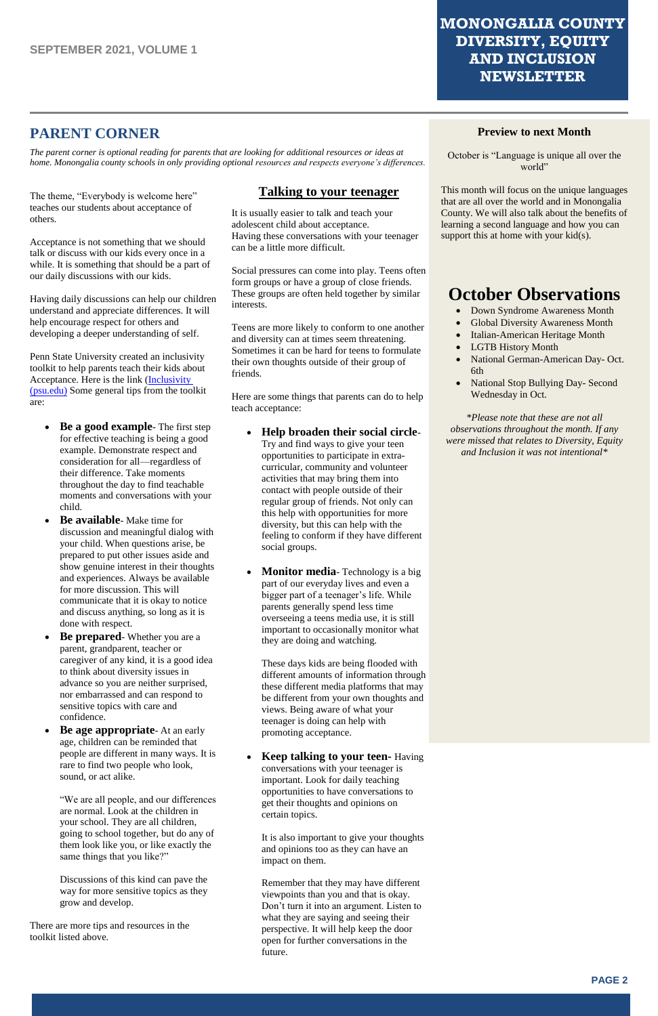#### **MONONGALIA COUNTY DIVERSITY, EQUITY AND INCLUSION NEWSLETTER**



#### **PARENT CORNER**

October is "Language is unique all over the world"

This month will focus on the unique languages that are all over the world and in Monongalia County. We will also talk about the benefits of learning a second language and how you can support this at home with your kid(s).

*The parent corner is optional reading for parents that are looking for additional resources or ideas at home. Monongalia county schools in only providing optional resources and respects everyone's differences.* 

#### **Preview to next Month**

The theme, "Everybody is welcome here" teaches our students about acceptance of others.

### **October Observations**

- Down Syndrome Awareness Month
- Global Diversity Awareness Month
- Italian-American Heritage Month
- LGTB History Month
- National German-American Day- Oct. 6th
- National Stop Bullying Day- Second Wednesday in Oct.

*\*Please note that these are not all observations throughout the month. If any were missed that relates to Diversity, Equity and Inclusion it was not intentional\**

Acceptance is not something that we should talk or discuss with our kids every once in a while. It is something that should be a part of our daily discussions with our kids.

Having daily discussions can help our children understand and appreciate differences. It will help encourage respect for others and developing a deeper understanding of self.

Penn State University created an inclusivity toolkit to help parents teach their kids about Acceptance. Here is the link (Inclusivity [\(psu.edu\)](https://inclusivity.psu.edu/wp-content/uploads/2020/10/inclusivity-toolkit.pdf) Some general tips from the toolkit are:

- **Be a good example** The first step for effective teaching is being a good example. Demonstrate respect and consideration for all—regardless of their difference. Take moments throughout the day to find teachable moments and conversations with your child.
- **Be available** Make time for discussion and meaningful dialog with your child. When questions arise, be prepared to put other issues aside and show genuine interest in their thoughts and experiences. Always be available for more discussion. This will communicate that it is okay to notice and discuss anything, so long as it is done with respect.
- **Be prepared** Whether you are a parent, grandparent, teacher or caregiver of any kind, it is a good idea to think about diversity issues in advance so you are neither surprised, nor embarrassed and can respond to sensitive topics with care and confidence.
- **Be age appropriate** At an early age, children can be reminded that

people are different in many ways. It is rare to find two people who look, sound, or act alike.

"We are all people, and our differences are normal. Look at the children in your school. They are all children, going to school together, but do any of them look like you, or like exactly the same things that you like?"

Discussions of this kind can pave the way for more sensitive topics as they grow and develop.

There are more tips and resources in the toolkit listed above.

#### **Talking to your teenager**

It is usually easier to talk and teach your adolescent child about acceptance. Having these conversations with your teenager can be a little more difficult.

Social pressures can come into play. Teens often form groups or have a group of close friends. These groups are often held together by similar interests.

Teens are more likely to conform to one another and diversity can at times seem threatening. Sometimes it can be hard for teens to formulate their own thoughts outside of their group of friends.

Here are some things that parents can do to help teach acceptance:

- **Help broaden their social circle**-Try and find ways to give your teen opportunities to participate in extracurricular, community and volunteer activities that may bring them into contact with people outside of their regular group of friends. Not only can this help with opportunities for more diversity, but this can help with the feeling to conform if they have different social groups.
- **Monitor media**-Technology is a big part of our everyday lives and even a bigger part of a teenager's life. While parents generally spend less time overseeing a teens media use, it is still important to occasionally monitor what they are doing and watching.

These days kids are being flooded with different amounts of information through these different media platforms that may be different from your own thoughts and views. Being aware of what your teenager is doing can help with promoting acceptance.

• **Keep talking to your teen-** Having conversations with your teenager is important. Look for daily teaching opportunities to have conversations to get their thoughts and opinions on certain topics.

It is also important to give your thoughts and opinions too as they can have an impact on them.

Remember that they may have different viewpoints than you and that is okay. Don't turn it into an argument. Listen to what they are saying and seeing their perspective. It will help keep the door open for further conversations in the future.